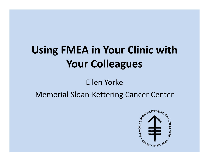# **Using FMEA in Your Clinic with with Your Colleagues**

#### Ellen Yorke

#### Memorial Sloan-Kettering Cancer Center

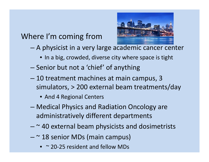#### Where I'm coming from



- A physicist in a very large academic cancer center
	- In a big, crowded, diverse city where space is tight
- Senior but not a 'chief' of anything
- – 10 treatment machines at main campus, 3 simulators, > 200 external beam treatments/day
	- And 4 Regional Centers
- – Medical Physics and Radiation Oncology are administratively different departments
- – $-$  ~ 40 external beam physicists and dosimetrists
- – $-$  ~ 18 senior MDs (main campus)
	- $\sim$  20-25 resident and fellow MDs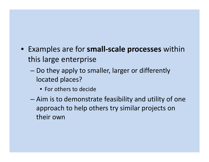- Examples are for **small-scale processes scale** within this large enterprise
	- – $-$  Do they apply to smaller, larger or differently located places?
		- For others to decide
	- – Aim is to demonstrate feasibility and utility of one approach to help others try similar projects on their own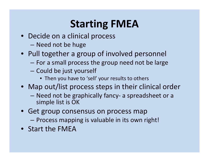# **Starting FMEA**

- Decide on a clinical process
	- –Need not be huge
- Pull together a group of involved personnel
	- – $-$  For a small process the group need not be large
	- –— Could be just yourself
		- Then you have to 'sell' your results to others
- Map out/list process steps in their clinical order
	- – Need not be graphically fancy- a spreadsheet or a simple list is OK
- Get group consensus on process map
	- –Process mapping is valuable in its own right!
- Start the FMEA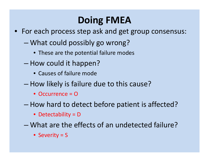### **Doing FMEA**

- For each process step ask and get group consensus:
	- – What could possibly go wrong?
		- These are the potential failure modes
	- –- How could it happen?
		- Causes of failure mode
	- –– How likely is failure due to this cause?
		- Occurrence = O
	- –– How hard to detect before patient is affected?
		- Detectability = D
	- What are the effects of an undetected failure?
		- Severity = S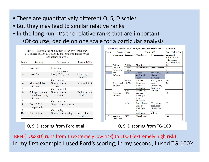- There are quantitatively different O, S, D scales
- But they may lead to similar relative ranks
- In the long run, it's the relative ranks that are important

•Of course, decide on one scale for a particular analysis

| Score          | Severity                                        | Occurrence                 | Detectability                 |
|----------------|-------------------------------------------------|----------------------------|-------------------------------|
| 1              | No effect                                       | Less than<br>every 5 years |                               |
| $\overline{2}$ | Dose $\Delta 5\%$                               | Every 2-5 years            | Very easy<br>to detect        |
| 3              |                                                 | Once a year                |                               |
| 4              | Minimal delay<br>in care                        | Several times<br>a year    | Easy to detect                |
| 5              |                                                 | Once a month               |                               |
| 6              | Allergic reaction;<br>moderate delay<br>in care | Several times<br>a month   | Mildly difficult<br>to detect |
| 7              |                                                 | Once a week                |                               |
| 8              | Dose $\Delta 20\%$ ,<br>reportable              | Several times a week       |                               |
| 9              |                                                 | Once a day                 |                               |
| 10             | Patient dies                                    | Several times a day        | Impossible<br>to detect       |

Table II. Descriptions of the O, S, and D values used in the TG-100 FMEA

| Rank                    | Occurrence $(O)$       |           | $S$ everity $(S)$                                             | Detectability $(D)$                                                |                                                                 |
|-------------------------|------------------------|-----------|---------------------------------------------------------------|--------------------------------------------------------------------|-----------------------------------------------------------------|
|                         | Qualitative            | Frequency | <b>Qualitative</b>                                            | Categorization                                                     | Estimated<br>Probability of<br>failure going<br>undetected in % |
| $\mathbf{1}$            | Failure                | 0.01%     | No effect                                                     |                                                                    | 0.01                                                            |
| $\overline{2}$          | unlikely               | 0.02%     | Inconvenience                                                 | Inconvenience                                                      | 0.2                                                             |
| $\overline{\mathbf{3}}$ | Relatively             | 0.05%     |                                                               |                                                                    | 0.5                                                             |
| $\overline{4}$          | few                    | 0.1%      | Minor                                                         | Suboptimal                                                         | 1.0                                                             |
|                         | failures               |           | dosimetric<br>error                                           | plan or<br>treatment                                               |                                                                 |
| 5                       |                        | $< 0.2\%$ | Limited                                                       | Wrong dose,                                                        | 2.0                                                             |
| 6                       | Occasional<br>failures | $< 0.5\%$ | toxicity or<br>tumor<br>underdose                             | dose<br>distribution,<br>location or                               | 5.0                                                             |
| 7                       |                        | $< 1\%$   | Potentially                                                   | volume                                                             | 10                                                              |
| 8                       | Repeated<br>failures   | < 2%      | serious<br>toxicity or<br>tumor<br>underdose                  |                                                                    | 15                                                              |
| 9                       |                        | $< 5\%$   | Possible very<br>serious<br>toxicity or<br>tumor<br>underdose | Very wrong<br>dose, dose<br>distribution,<br>location or<br>volume | 20                                                              |
| 10                      | Failures<br>inevitable | $>5\%$    | Catastrophic                                                  |                                                                    | $>20$                                                           |

O, S, D scoring from Ford et al **O**, S, D scoring from TG-100

RPN (=OxSxD) runs from 1 (extremely low risk) to 1000 (extremely high risk) In my first example I used Ford's scoring; in my second, I used TG-100's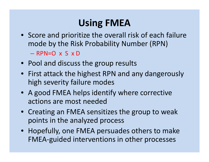# **Using FMEA**

- Score and prioritize the overall risk of each failure mode by the Risk Probability Number (RPN) – RPN=O x S x D
- Pool and discuss the group results
- First attack the highest RPN and any dangerously high severity failure modes
- A good FMEA helps identify where corrective actions are most needed
- Creating an FMEA sensitizes the group to weak points in the analyzed process
- Hopefully, one FMEA persuades others to make FMEA-guided interventions in other processes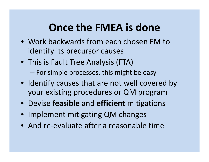# **Once the FMEA is done**

- Work backwards from each chosen FM to identify its precursor causes
- This is Fault Tree Analysis (FTA)
	- –– For simple processes, this might be easy
- Identify causes that are not well covered by your existing procedures or QM program
- Devise **feasible** and **efficient** mitigations
- Implement mitigating QM changes
- And re-evaluate after a reasonable time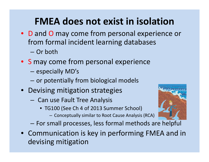### **FMEA does not exist in isolation**

- D and O may come from personal experience or from formal incident learning databases — Or both
- S may come from personal experience
	- – $-$  especially MD's

–

- – $-$  or potentially from biological models
- Devising mitigation strategies
	- – $-$  Can use Fault Tree Analysis
		- TG100 (See Ch 4 of 2013 Summer School)
			- Conceptually similar to Root Cause Analysis (RCA)
	- For small processes, less formal methods are helpful
- Communication is key in performing FMEA and in devising mitigation

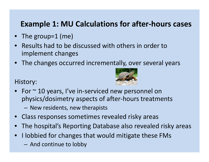#### **Example 1: MU Calculations for after-hours cases**

- The group=1 (me)
- $\bullet$  Results had to be discussed with others in order to implement changes
- The changes occurred incrementally, over several years

History:



- $\bullet~$  For  $\sim$  10 years, I've in-serviced new personnel on physics/dosimetry aspects of after-hours treatments
	- New residents, new therapists
- •Class responses sometimes revealed risky areas
- •The hospital's Reporting Database also revealed risky areas
- $\bullet$  I lobbied for changes that would mitigate these FMs
	- $-$  And continue to lobby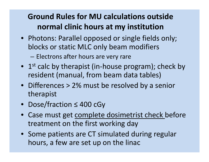### **Ground Rules for MU calculations outside normal clinic hours at m y institution**

• Photons: Parallel opposed or single fields only; blocks or static MLC onl y beam modifiers

– $-$  Electrons after hours are very rare

- 1<sup>st</sup> calc by therapist (in-house program); check by resident (manual, from beam data tables)
- Differences > 2% must be resolved by a senior t herapist
- Dose/fraction ≤ 400 cGy
- Case must get complete dosimetrist check before treatment on the first working day
- Some patients are CT simulated during regular hours, a few are set up on the linac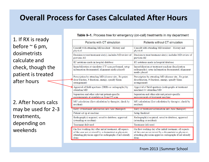#### **Overall Process for Cases Calculated After Hours**

1. If RX is ready before  $\sim$  6 pm, dosimetristscalculate and check, though the patient is treated after hours

2. After hours calcsma y be used for 2-3 treatments, depending on weekends

| <b>Table 9-1.</b> Process tree for emergency (on-call) treatments in my department |  |
|------------------------------------------------------------------------------------|--|
|------------------------------------------------------------------------------------|--|

|                                                                      | Patients with CT simulation                                                                                                                                                              | Patients without CT simulation                                                                                                                                                           |  |  |  |
|----------------------------------------------------------------------|------------------------------------------------------------------------------------------------------------------------------------------------------------------------------------------|------------------------------------------------------------------------------------------------------------------------------------------------------------------------------------------|--|--|--|
|                                                                      | Consult with attending MD/resident - History and<br>physical                                                                                                                             | Consult with attending MD/resident - History and<br>physical                                                                                                                             |  |  |  |
|                                                                      | Decision to treat/treatment site(s); includes MD review of<br>previous RT                                                                                                                | Decision to treat/treatment site(s); includes MD review of<br>previous RT                                                                                                                |  |  |  |
|                                                                      | RT notations made in hospital database                                                                                                                                                   | RT notations made in hospital database                                                                                                                                                   |  |  |  |
|                                                                      | Immobilization at simulator (CT scan performed, setup<br>information documented, alignment marks placed)                                                                                 | Immobilization at treatment machine (localization<br>radiographs); setup information documented, alignment<br>marks placed                                                               |  |  |  |
|                                                                      | Prescription by attending MD (disease site Rx point,<br>dose/fraction, # fractions, energy, specify beam<br>arrangement)                                                                 | Prescription by attending MD (disease site Rx point,<br>dose/fraction, # fractions, energy, specify beam<br>arrangement)                                                                 |  |  |  |
| Approval of field apertures (DRRs or radiographs) by<br>attending MD |                                                                                                                                                                                          | Approval of field apertures (radiographs at treatment<br>machine) by attending MD                                                                                                        |  |  |  |
|                                                                      | Separation and other relevant patient-specific<br>measurements at simulator or from CT scan                                                                                              | Separation and other relevant patient-specific<br>measurements at treatment machine                                                                                                      |  |  |  |
|                                                                      | MU calculation (first calculation by therapist, check by<br>resident)                                                                                                                    | MU calculation (first calculation by therapist, check by<br>resident)                                                                                                                    |  |  |  |
|                                                                      | Entry of treatment information into Aria (therapist)                                                                                                                                     | Entry of treatment information into Aria (therapist)                                                                                                                                     |  |  |  |
|                                                                      | Patient set up at machine                                                                                                                                                                | Setup finalized                                                                                                                                                                          |  |  |  |
|                                                                      | Radiograph(s) acquired, saved to database, approved<br>(attending or resident)                                                                                                           | Radiograph(s) acquired, saved to database, approved<br>(attending or resident)                                                                                                           |  |  |  |
|                                                                      | <b>Treatment delivered</b>                                                                                                                                                               | <b>Treatment delivered</b>                                                                                                                                                               |  |  |  |
|                                                                      | On first working day after initial treatment, all aspects<br>of the case are reviewed by a dosimetrist or physicist;<br>attending physician approves radiographs if not already<br>done. | On first working day after initial treatment, all aspects<br>of the case are reviewed by a dosimetrist or physicist;<br>attending physician approves radiographs if not already<br>done. |  |  |  |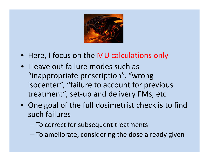

- Here, I focus on the MU calculations only
- I leave out failure modes such as "inappropriate prescription", "wrong isocenter", "failure to account for previous treatment", set-up and delivery FMs, etc
- One goal of the full dosimetrist check is to find such failures
	- – $-$  To correct for subsequent treatments
	- $-$  To ameliorate, considering the dose already given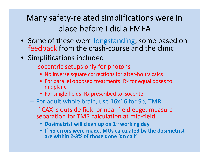### Many safety-related simplifications were in place before I did <sup>a</sup> FMEA

- Some of these were longstanding, some based on feedback from the crash-course and the clinic
- Simplifications included
	- $-$  Isocentric setups only for photons
		- No inverse square corrections for after-hours calcs
		- For parallel opposed treatments: Rx for equal doses to midplane
		- For single fields: Rx prescribed to isocenter
	- $-$  For adult whole brain, use 16x16 for Sp, TMR
	- $-$  If CAX is outside field or near field edge, measure separation for TMR calculation at mid-field
		- **Dosimetrist will clean up on 1st working day**
		- **If no errors were made, MUs calculated by the dosimetrist were MUs are within 2-3% of those done 'on call'**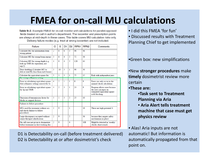### **FMEA for on-call MU calculations**

Table 9-2. Example FMEA for on-call monitor unit calculations for parallel-opposed fields treated on-call in author's department. The isocenter and prescription points are always at mid-depth in these cases. This table covers MU calculation risks only. Delivery failure modes (e.g. treat at wrong isocenter) are not included.

| Failure                                                                           | O              | S              | D <sub>1</sub> | D <sub>2</sub> | RPN <sub>1</sub> | RPN <sub>2</sub> | Comments                                                                                              |
|-----------------------------------------------------------------------------------|----------------|----------------|----------------|----------------|------------------|------------------|-------------------------------------------------------------------------------------------------------|
| Calculate MU for information from<br>wrong patient                                | $\overline{2}$ | 8              | 6              | 3              | 96               | 48               |                                                                                                       |
| Calculate MU for wrong beam energy                                                | 3              | 6              | 4              | $\overline{2}$ | 72               | 36               |                                                                                                       |
| Calculate MU for wrong depth (e.g.<br>look up TMR for separation, not<br>sep/2)   | 4              | 8              | 4              | $\overline{2}$ | 128              | 64               |                                                                                                       |
| Dose doubling (Calculate MU to<br>deliver total Rx dose from each beam)           | 3              | 10             | 3              | 1              | 90               | 30               |                                                                                                       |
| Calculate the equivalent square for<br>the wrong collimator setting               | 5              | 3              | 5              | 1              | 75               | 15               | Risk with independent jaws                                                                            |
| Error in calculating equivalent square<br>(but collimator setting correct) for Sc | 4              | $\overline{2}$ | 1              | 1              | 8                | 8                | Error can only occur in the<br>manual check calculation                                               |
| Error in calculating equivalent square<br>for Sp and TMR                          | 4              | $\overline{2}$ | 3              | 1              | 24               | 8                | Program allows error because<br>the user can input an<br>estimated equivalent square<br>with blocking |
| Omission of transmission factor for<br>blocks or support devices                  | 5              | 1              | 5              | $\overline{c}$ | 25               | 10               |                                                                                                       |
| Failures to follow procedure                                                      |                |                |                |                |                  |                  |                                                                                                       |
| MUs used for treatment without sec-<br>ond check (failure to follow<br>procedure) | $\overline{2}$ | Q              |                | 1              |                  | 18               | These are high potential S                                                                            |
| Large discrepancy accepted without<br>senior therapist adjudication               | $\overline{2}$ | 9              |                | 2              |                  | 36               | because they negate safety<br>mechanisms in place                                                     |
| On-call case not given to dosimetrist<br>before treatment on first working day    | $\overline{2}$ | 9              |                | 6              |                  | 108              | Might be detected in 'weekly'<br>checks chart rounds                                                  |

D1 is Detectability on-call (before treatment delivered) D2 is Detectability at or after dosimetrist's check

- $\bullet$  I did this FMEA 'for fun'
- Discussed results with Treatment Planning Chief to get implemented

•Green box: new simplifications

•New **stronger procedures** make **timely** dosimetrist review more certain

#### •**These are:**

- •**Task sent to Treatment Planning via Aria**
- **Aria Alert tells treatment machine that case must get case physics review**

• Alas! Aria inputs are not automatic! But information is automatically propagated from that point on.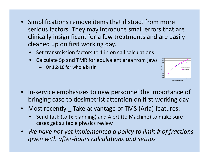- • Simplifications remove items that distract from more serious factors. They may introduce small errors that are clinically insignificant for a few treatments and are easily cleaned up on first working day.
	- •• Set transmission factors to 1 in on call calculations
	- • Calculate Sp and TMR for equivalent area from jaws
		- Or 16x16 for whole brain



- •• In-service emphasizes to new personnel the importance of bringing case to dosimetrist attention on first working day
- Most recently \_ Take advantage of TMS (Aria) features:
	- • Send Task (to tx planning) and Alert (to Machine) to make sure cases get suitable physics review
- • *We have not yet have implemented <sup>a</sup> policy to limit # of fractions given with after-hours calculations and setups*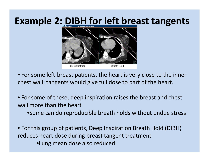### **Example 2: DIBH for left breast tangents**



• For some left-breast patients, the heart is very close to the inner chest wall; tangents would give full dose to part of the heart.

• For some of these, deep inspiration raises the breast and chest wall more than the heart

•Some can do reproducible breath holds without undue stress

• For this group of patients, Deep Inspiration Breath Hold (DIBH) reduces heart dose during breast tangent treatment •Lung mean dose also reduced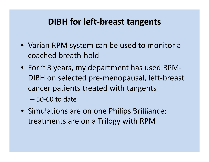#### **DIBH for left-breast tangents**

- Varian RPM system can be used to monitor a coached breath-hold
- For  $\sim$  3 years, my department has used RPM-DIBH on selected pre-menopausal, left-breast cancer patients treated with tangents

– 50-60 to date

• Simulations are on one Philips Brilliance; treatments are on a Trilogy with RPM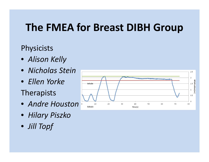### **The FMEA for Breast DIBH Group**

#### **Physicists**

- *Alison Kelly*
- *Nicholas Stein*
- *Ellen Yorke*

### Therapists

- *Andre Houston*
- *Hilary Piszko*
- *Jill Topf*

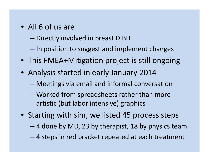- All 6 of us are
	- –— Directly involved in breast DIBH
	- – $-$  In position to suggest and implement changes
- This FMEA+Mitigation project is still ongoing
- Analysis started in early January 2014
	- Meetings via email and informal conversation
	- – Worked from spreadsheets rather than more artistic (but labor intensive) graphics
- Starting with sim, we listed 45 process steps
	- –4 done by MD, 23 by therapist, 18 by physics team
	- –4 steps in red bracket repeated at each treatment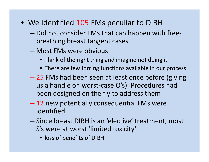- We identified 105 FMs peculiar to DIBH
	- Did not consider FMs that can happen with freebreathing breast tangent cases
	- Most FMs were obvious
		- Think of the right thing and imagine not doing it
		- $\bullet$  There are few forcing functions available in our process
	- 25 FMs had been seen at least once before (giving us a handle on worst-case O's). Procedures had been designed on the fly to address them
	- 12 new potentially consequential FMs were identified
	- Since breast DIBH is an 'elective' treatment, most S's were at worst 'limited toxicity'
		- loss of benefits of DIBH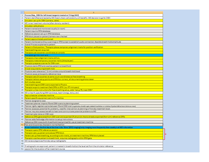|                | A                                                                                                                                                                 |
|----------------|-------------------------------------------------------------------------------------------------------------------------------------------------------------------|
| 1              | Process Map_DIBH for left breast tangents treated on Trilogy (443)                                                                                                |
| $\overline{2}$ | Patient identified and tested by MD (heart-chest wall anatomy will benefit) - MD decision to go for DIBH                                                          |
| з              | Simulator set up for DIBH (camera, cable)                                                                                                                         |
| 4              | MD 'wires' treatment volume (often done by resident)                                                                                                              |
|                | 5 Simulator calls physics                                                                                                                                         |
| 6              | Patient trained and monitored visually (in room)                                                                                                                  |
| 7              | Patient input to RPM database                                                                                                                                     |
|                | 8 Reference session set up in RPM database                                                                                                                        |
| 9              | RPM block placed on patient/camera view checked                                                                                                                   |
|                | 10 Patient approximately positioned                                                                                                                               |
|                | 11 Patient monitored (without scanning) on RPM screen to establish audio connection, feasible breath-hold amplitude                                               |
|                | 12 Overall Process explained to patient                                                                                                                           |
|                | 13 Patient in final position; Therapist places temporary alignment marks for position verification                                                                |
|                | 14 Free breathing scan acquired                                                                                                                                   |
|                | 15 Therapists set isocenter coordinates at console                                                                                                                |
|                | 16 Therapists go into room and                                                                                                                                    |
|                | 17 Therapists check alignment marks still on;                                                                                                                     |
|                | 18 Therapists make temporary isocenter marks (sharpie pen)                                                                                                        |
|                | 19 Therapist prepares scanner for DIBH scan                                                                                                                       |
|                | 20 Physicist starts RPM and coaches patient to breathhold                                                                                                         |
|                | 21 DI scan acquired during breath-hold                                                                                                                            |
|                | 22 Physicist sets tolerance (~5 mm) window around breath-hold level                                                                                               |
|                | 23 Physicist saves and exports reference trace                                                                                                                    |
|                | 24 Therapist sets DI isocenter at same couch coordinates as free-breathing                                                                                        |
|                | 25 Therapist tattoos setup points and RPM box corners, all documenting photos taken                                                                               |
|                | 26 Both studies saved                                                                                                                                             |
|                | 27 Free breathing and DIBH scans exported to Physics                                                                                                              |
|                | 28 Therapist exports treatment field DRRs to SPIN (our RT mini-pacs)                                                                                              |
|                | 29 Therapist writes instructions for free-breathing setup, adds "setup FB, treat DIBH"                                                                            |
|                | 30 MD writes Rx specifying DIBH (and dose, beam energy, bolus, etc)                                                                                               |
|                | 31 Dept scheduler schedules machine                                                                                                                               |
|                | 32 Patient-specific equipment sent to Tx machine                                                                                                                  |
|                | 33 Planner assigned to case                                                                                                                                       |
|                | 34 Treatment planner imports FB and DIBH scans to planning system                                                                                                 |
|                | 35 Planner rigidly registers spine between FB and DIBH scan (registration should require minimal translations or rotations if patient did not move between scans) |
|                | 36 Planner assesses potential for problems, need for intervention at planning or first-day treatment level.                                                       |
|                | 37 Planner may also assess benefit to heart and communicate potential problems to MD                                                                              |
|                | 38 Treatment plan done on DIBH scan                                                                                                                               |
|                | 39 Reference DRRs generated from DIBH scan and exported OR physicist checks already-exported (from sim) reference DRRs                                            |
|                | 40 Planner adds field-edge information to setup instructions                                                                                                      |
|                | 41 Reference DIBH trace (with threshhold lines) printed for use at treatment machine                                                                              |
| 42             | Plan and Aria entries checked in normal fashion                                                                                                                   |
|                | 43 At our institution, the first day at the linac is for 'films' (EPID imaging) only; imaging more frequently than weekly is at MD's discretion                   |
|                | 44 Therapist opens RPM reference session                                                                                                                          |
|                | 45 Therapist sets up patient and places RPM block                                                                                                                 |
|                | 46 Patient set up free breathing, according to skin marks, at treatment machine; RPM block placed                                                                 |
|                | 47 Therapist coaches patient to breath hold, acquires radiographs within RPM gate                                                                                 |
|                | 48 MD reviews/approves first-day setup radiographs                                                                                                                |
| 49             |                                                                                                                                                                   |
|                | 50   If radiographs are approved, patient is treated in breath-hold at the level set from the simulator reference                                                 |
|                | 51 session for the duration of her treatment course                                                                                                               |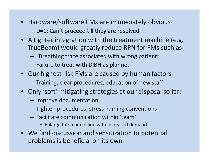- Hardware/software FMs are immediately obvious – $-$  D=1; Can't proceed till they are resolved
- A tighter integration with the treatment machine (e.g. TrueBeam) would greatly reduce RPN for FMs such as
	- $-$  "Breathing trace associated with wrong patient"  $\,$
	- – $-$  Failure to treat with DIBH as planned
- Our highest risk FMs are caused by human factors  $-$  Training, clear procedures, education of new staff
- Only 'soft' mitigating strategies at our disposal so far:
	- $-$  Improve documentation
	- $-$  Tighten procedures, stress naming conventions
	- Facilitate communication within 'team'
		- Enlarge the team in line with increased demand
- We find discussion and sensitization to potential problems is beneficial on its own